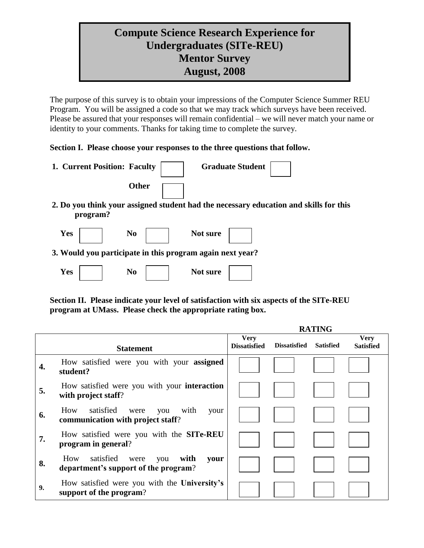# **Compute Science Research Experience for Undergraduates (SITe-REU) Mentor Survey August, 2008**

The purpose of this survey is to obtain your impressions of the Computer Science Summer REU Program. You will be assigned a code so that we may track which surveys have been received. Please be assured that your responses will remain confidential – we will never match your name or identity to your comments. Thanks for taking time to complete the survey.

#### **Section I. Please choose your responses to the three questions that follow.**

**Yes No No No No No Not Not Not** 

| 1. Current Position: Faculty                              |              |          | <b>Graduate Student</b> |                                                                                       |
|-----------------------------------------------------------|--------------|----------|-------------------------|---------------------------------------------------------------------------------------|
|                                                           | <b>Other</b> |          |                         |                                                                                       |
| program?                                                  |              |          |                         | 2. Do you think your assigned student had the necessary education and skills for this |
| Yes                                                       | No           | Not sure |                         |                                                                                       |
| 3. Would you participate in this program again next year? |              |          |                         |                                                                                       |
|                                                           |              |          |                         |                                                                                       |

**Section II. Please indicate your level of satisfaction with six aspects of the SITe-REU program at UMass. Please check the appropriate rating box.**

|    |                                                                                         | <b>RATING</b>                      |                     |                  |                                 |
|----|-----------------------------------------------------------------------------------------|------------------------------------|---------------------|------------------|---------------------------------|
|    | <b>Statement</b>                                                                        | <b>Very</b><br><b>Dissatisfied</b> | <b>Dissatisfied</b> | <b>Satisfied</b> | <b>Very</b><br><b>Satisfied</b> |
| 4. | How satisfied were you with your assigned<br>student?                                   |                                    |                     |                  |                                 |
| 5. | How satisfied were you with your <b>interaction</b><br>with project staff?              |                                    |                     |                  |                                 |
| 6. | How satisfied<br>with<br>your<br>were<br>you<br>communication with project staff?       |                                    |                     |                  |                                 |
| 7. | How satisfied were you with the <b>SITe-REU</b><br>program in general?                  |                                    |                     |                  |                                 |
| 8. | satisfied<br>with<br>How<br>were<br>you<br>your<br>department's support of the program? |                                    |                     |                  |                                 |
| 9. | How satisfied were you with the University's<br>support of the program?                 |                                    |                     |                  |                                 |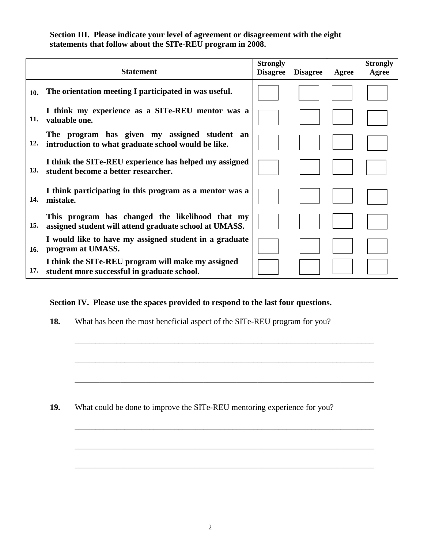#### **Section III. Please indicate your level of agreement or disagreement with the eight statements that follow about the SITe-REU program in 2008.**

|     | <b>Statement</b>                                                                                          | <b>Strongly</b><br><b>Disagree</b> | <b>Disagree</b> | Agree | <b>Strongly</b><br>Agree |
|-----|-----------------------------------------------------------------------------------------------------------|------------------------------------|-----------------|-------|--------------------------|
| 10. | The orientation meeting I participated in was useful.                                                     |                                    |                 |       |                          |
| 11. | I think my experience as a SITe-REU mentor was a<br>valuable one.                                         |                                    |                 |       |                          |
| 12. | The program has given my assigned student an<br>introduction to what graduate school would be like.       |                                    |                 |       |                          |
| 13. | I think the SITe-REU experience has helped my assigned<br>student become a better researcher.             |                                    |                 |       |                          |
| 14. | I think participating in this program as a mentor was a<br>mistake.                                       |                                    |                 |       |                          |
| 15. | This program has changed the likelihood that my<br>assigned student will attend graduate school at UMASS. |                                    |                 |       |                          |
| 16. | I would like to have my assigned student in a graduate<br>program at UMASS.                               |                                    |                 |       |                          |
| 17. | I think the SITe-REU program will make my assigned<br>student more successful in graduate school.         |                                    |                 |       |                          |

## **Section IV. Please use the spaces provided to respond to the last four questions.**

**18.** What has been the most beneficial aspect of the SITe-REU program for you?

\_\_\_\_\_\_\_\_\_\_\_\_\_\_\_\_\_\_\_\_\_\_\_\_\_\_\_\_\_\_\_\_\_\_\_\_\_\_\_\_\_\_\_\_\_\_\_\_\_\_\_\_\_\_\_\_\_\_\_\_\_\_\_\_\_\_\_\_\_\_\_\_

\_\_\_\_\_\_\_\_\_\_\_\_\_\_\_\_\_\_\_\_\_\_\_\_\_\_\_\_\_\_\_\_\_\_\_\_\_\_\_\_\_\_\_\_\_\_\_\_\_\_\_\_\_\_\_\_\_\_\_\_\_\_\_\_\_\_\_\_\_\_\_\_

\_\_\_\_\_\_\_\_\_\_\_\_\_\_\_\_\_\_\_\_\_\_\_\_\_\_\_\_\_\_\_\_\_\_\_\_\_\_\_\_\_\_\_\_\_\_\_\_\_\_\_\_\_\_\_\_\_\_\_\_\_\_\_\_\_\_\_\_\_\_\_\_

\_\_\_\_\_\_\_\_\_\_\_\_\_\_\_\_\_\_\_\_\_\_\_\_\_\_\_\_\_\_\_\_\_\_\_\_\_\_\_\_\_\_\_\_\_\_\_\_\_\_\_\_\_\_\_\_\_\_\_\_\_\_\_\_\_\_\_\_\_\_\_\_

\_\_\_\_\_\_\_\_\_\_\_\_\_\_\_\_\_\_\_\_\_\_\_\_\_\_\_\_\_\_\_\_\_\_\_\_\_\_\_\_\_\_\_\_\_\_\_\_\_\_\_\_\_\_\_\_\_\_\_\_\_\_\_\_\_\_\_\_\_\_\_\_

\_\_\_\_\_\_\_\_\_\_\_\_\_\_\_\_\_\_\_\_\_\_\_\_\_\_\_\_\_\_\_\_\_\_\_\_\_\_\_\_\_\_\_\_\_\_\_\_\_\_\_\_\_\_\_\_\_\_\_\_\_\_\_\_\_\_\_\_\_\_\_\_

**19.** What could be done to improve the SITe-REU mentoring experience for you?